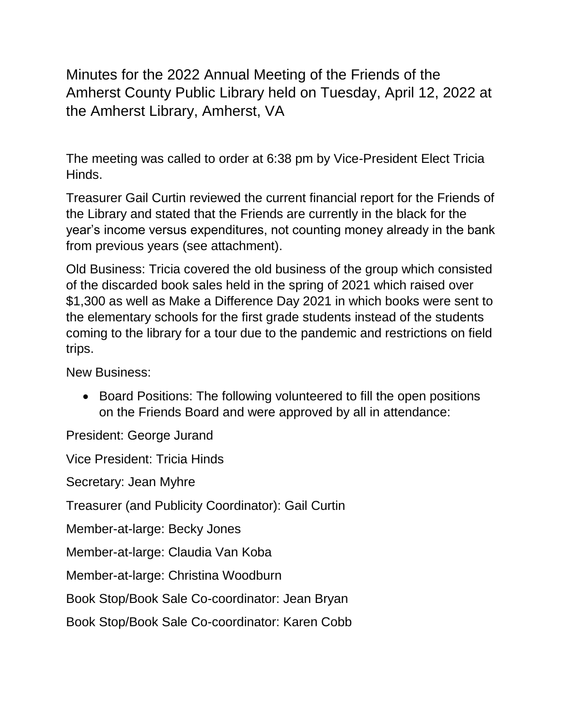Minutes for the 2022 Annual Meeting of the Friends of the Amherst County Public Library held on Tuesday, April 12, 2022 at the Amherst Library, Amherst, VA

The meeting was called to order at 6:38 pm by Vice-President Elect Tricia Hinds.

Treasurer Gail Curtin reviewed the current financial report for the Friends of the Library and stated that the Friends are currently in the black for the year's income versus expenditures, not counting money already in the bank from previous years (see attachment).

Old Business: Tricia covered the old business of the group which consisted of the discarded book sales held in the spring of 2021 which raised over \$1,300 as well as Make a Difference Day 2021 in which books were sent to the elementary schools for the first grade students instead of the students coming to the library for a tour due to the pandemic and restrictions on field trips.

New Business:

• Board Positions: The following volunteered to fill the open positions on the Friends Board and were approved by all in attendance:

President: George Jurand

Vice President: Tricia Hinds

Secretary: Jean Myhre

Treasurer (and Publicity Coordinator): Gail Curtin

Member-at-large: Becky Jones

Member-at-large: Claudia Van Koba

Member-at-large: Christina Woodburn

Book Stop/Book Sale Co-coordinator: Jean Bryan

Book Stop/Book Sale Co-coordinator: Karen Cobb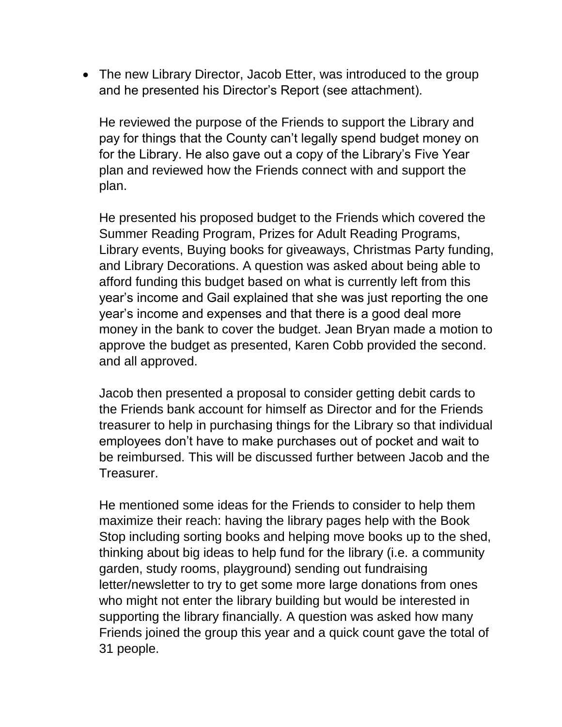• The new Library Director, Jacob Etter, was introduced to the group and he presented his Director's Report (see attachment).

He reviewed the purpose of the Friends to support the Library and pay for things that the County can't legally spend budget money on for the Library. He also gave out a copy of the Library's Five Year plan and reviewed how the Friends connect with and support the plan.

He presented his proposed budget to the Friends which covered the Summer Reading Program, Prizes for Adult Reading Programs, Library events, Buying books for giveaways, Christmas Party funding, and Library Decorations. A question was asked about being able to afford funding this budget based on what is currently left from this year's income and Gail explained that she was just reporting the one year's income and expenses and that there is a good deal more money in the bank to cover the budget. Jean Bryan made a motion to approve the budget as presented, Karen Cobb provided the second. and all approved.

Jacob then presented a proposal to consider getting debit cards to the Friends bank account for himself as Director and for the Friends treasurer to help in purchasing things for the Library so that individual employees don't have to make purchases out of pocket and wait to be reimbursed. This will be discussed further between Jacob and the Treasurer.

He mentioned some ideas for the Friends to consider to help them maximize their reach: having the library pages help with the Book Stop including sorting books and helping move books up to the shed, thinking about big ideas to help fund for the library (i.e. a community garden, study rooms, playground) sending out fundraising letter/newsletter to try to get some more large donations from ones who might not enter the library building but would be interested in supporting the library financially. A question was asked how many Friends joined the group this year and a quick count gave the total of 31 people.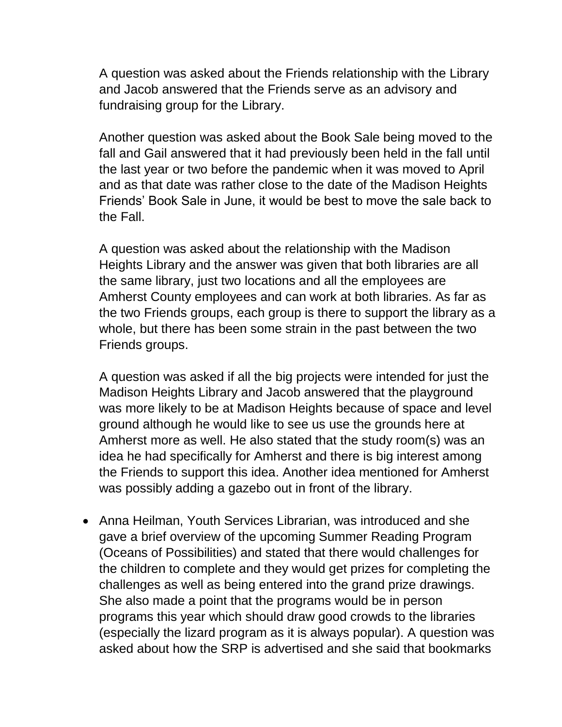A question was asked about the Friends relationship with the Library and Jacob answered that the Friends serve as an advisory and fundraising group for the Library.

Another question was asked about the Book Sale being moved to the fall and Gail answered that it had previously been held in the fall until the last year or two before the pandemic when it was moved to April and as that date was rather close to the date of the Madison Heights Friends' Book Sale in June, it would be best to move the sale back to the Fall.

A question was asked about the relationship with the Madison Heights Library and the answer was given that both libraries are all the same library, just two locations and all the employees are Amherst County employees and can work at both libraries. As far as the two Friends groups, each group is there to support the library as a whole, but there has been some strain in the past between the two Friends groups.

A question was asked if all the big projects were intended for just the Madison Heights Library and Jacob answered that the playground was more likely to be at Madison Heights because of space and level ground although he would like to see us use the grounds here at Amherst more as well. He also stated that the study room(s) was an idea he had specifically for Amherst and there is big interest among the Friends to support this idea. Another idea mentioned for Amherst was possibly adding a gazebo out in front of the library.

• Anna Heilman, Youth Services Librarian, was introduced and she gave a brief overview of the upcoming Summer Reading Program (Oceans of Possibilities) and stated that there would challenges for the children to complete and they would get prizes for completing the challenges as well as being entered into the grand prize drawings. She also made a point that the programs would be in person programs this year which should draw good crowds to the libraries (especially the lizard program as it is always popular). A question was asked about how the SRP is advertised and she said that bookmarks